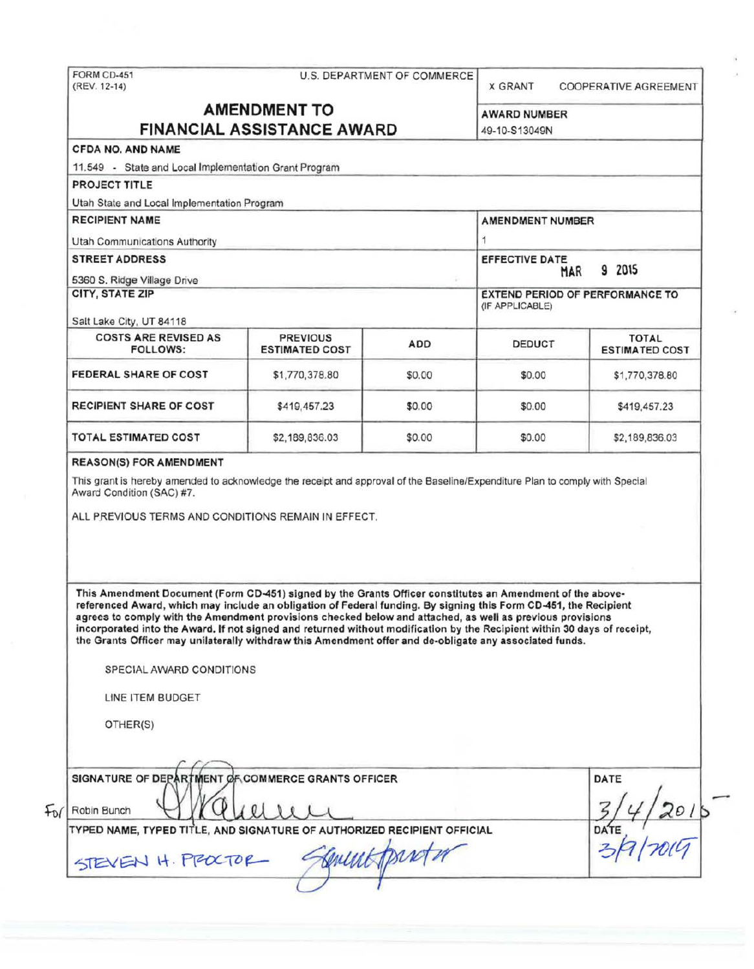# FORM CD-451 U.S. DEPARTMENT OF COMMERCE<br>(REV. 12-14)

**X GRANT COOPERATIVE AGREEMENT** 

9 2015

**ESTIMATED COST** 

### **AMENDMENT TO** AWARD NUMBER **FINANCIAL ASSISTANCE AWARD 149-10-S13049N**

(IF APPLICABLE)

## CFDA NO. AND NAME 11.549 - State and Local Implementation Grant Program PROJECT TITLE Utah State and Local Implementation Program RECIPIENT NAME AMENDMENT NUMBER Utah Commumcations Authority 1 STREET ADDRESS **EFFECTIVE DATE** 5360 S. Ridge Village Drive CITY, STATE ZIP EXTEND PERIOD OF PERFORMANCE TO Salt Lake City, UT 84118 COSTS ARE REVISED AS PREVIOUS ADD DEDUCT TOTAL TOTAL FOLLOWS: **FEDERAL SHARE OF COST \$1,770,378.80 \$0.00 \$0.00 \$0.00 \$1,770,378.80**

TOTAL ESTIMATED COST  $$2,189,836.03$   $$0.00$   $$52,189,836.03$ 

#### REASON(S) FOR AMENDMENT

This grant is hereby amended to acknowledge the receipt and approval of the Baseline/Expenditure Plan to comply with Special Award Condition (SAC) #7.

**RECIPIENT SHARE OF COST \$419,457.23 \$0.00 \$0.00 \$419,457.23** 

ALL PREVIOUS TERMS AND CONDITIONS REMAIN IN EFFECT.

This Amendment Document (Form CD-451) signed by the Grants Officer constitutes an Amendment of the abovereferenced Award, which may include an obligation of Federal funding. By signing this Form CD-451, the Recipient agrees to comply with the Amendment provisions checked below and attached, as well as previous provisions incorporated into the Award. If not signed and returned without modification by the Recipient within 30 days of receipt, the Grants Officer may unilaterally withdraw this Amendment offer and de-obligate any associated funds .

SPECIAL AWARD CONDITIONS

 $1/1$ 

TYPED NAME, TYPED TITLE, AND SIGNATURE OF AUTHORIZED RECIPIENT OFFICIAL

*(\_/* I

LINE ITEM BUDGET

OTHER(S)

SIGNATURE OF DEPART

 $+v$  Robin Bunch

ARTMENT OF COMMERCE GRANTS OFFICER DATE SIGNATURE OF DEPARTMENT OF COMMERCE GRANTS OFFICER<br>Robin Bunch Wallluli Robin Bunch Wallie, AND SIGNATURE OF AUTHORIZED RECIPIENT OFFICIAL DATE<br>
YPED NAME, TYPED TITLE, AND SIGNATURE OF AUTHORIZED RECIPIENT OFFICIAL DATE